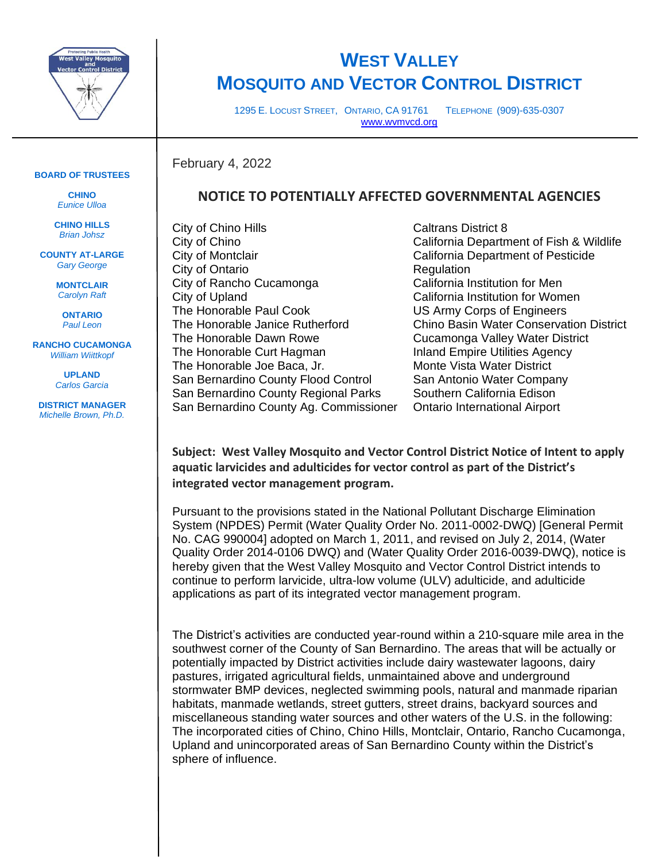

## **WEST VALLEY MOSQUITO AND VECTOR CONTROL DISTRICT**

1295 E. LOCUST STREET, ONTARIO, CA 91761 TELEPHONE (909)-635-0307 [www.wvmvcd.org](http://www.wvmvcd.org/)

## **BOARD OF TRUSTEES**

**CHINO**  *Eunice Ulloa*

**CHINO HILLS** *Brian Johsz*

**COUNTY AT-LARGE** *Gary George*

> **MONTCLAIR** *Carolyn Raft*

**ONTARIO** *Paul Leon*

**RANCHO CUCAMONGA** *William Wiittkopf*

> **UPLAND** *Carlos Garcia*

**DISTRICT MANAGER** *Michelle Brown, Ph.D.*

## **NOTICE TO POTENTIALLY AFFECTED GOVERNMENTAL AGENCIES**

City of Chino Hills City of Chino City of Montclair City of Ontario City of Rancho Cucamonga City of Upland The Honorable Paul Cook The Honorable Janice Rutherford The Honorable Dawn Rowe The Honorable Curt Hagman The Honorable Joe Baca, Jr. San Bernardino County Flood Control San Bernardino County Regional Parks San Bernardino County Ag. Commissioner

February 4, 2022

Caltrans District 8 California Department of Fish & Wildlife California Department of Pesticide Regulation California Institution for Men California Institution for Women US Army Corps of Engineers Chino Basin Water Conservation District Cucamonga Valley Water District Inland Empire Utilities Agency Monte Vista Water District San Antonio Water Company Southern California Edison Ontario International Airport

**Subject: West Valley Mosquito and Vector Control District Notice of Intent to apply aquatic larvicides and adulticides for vector control as part of the District's integrated vector management program.**

Pursuant to the provisions stated in the National Pollutant Discharge Elimination System (NPDES) Permit (Water Quality Order No. 2011-0002-DWQ) [General Permit No. CAG 990004] adopted on March 1, 2011, and revised on July 2, 2014, (Water Quality Order 2014-0106 DWQ) and (Water Quality Order 2016-0039-DWQ), notice is hereby given that the West Valley Mosquito and Vector Control District intends to continue to perform larvicide, ultra-low volume (ULV) adulticide, and adulticide applications as part of its integrated vector management program.

The District's activities are conducted year-round within a 210-square mile area in the southwest corner of the County of San Bernardino. The areas that will be actually or potentially impacted by District activities include dairy wastewater lagoons, dairy pastures, irrigated agricultural fields, unmaintained above and underground stormwater BMP devices, neglected swimming pools, natural and manmade riparian habitats, manmade wetlands, street gutters, street drains, backyard sources and miscellaneous standing water sources and other waters of the U.S. in the following: The incorporated cities of Chino, Chino Hills, Montclair, Ontario, Rancho Cucamonga, Upland and unincorporated areas of San Bernardino County within the District's sphere of influence.